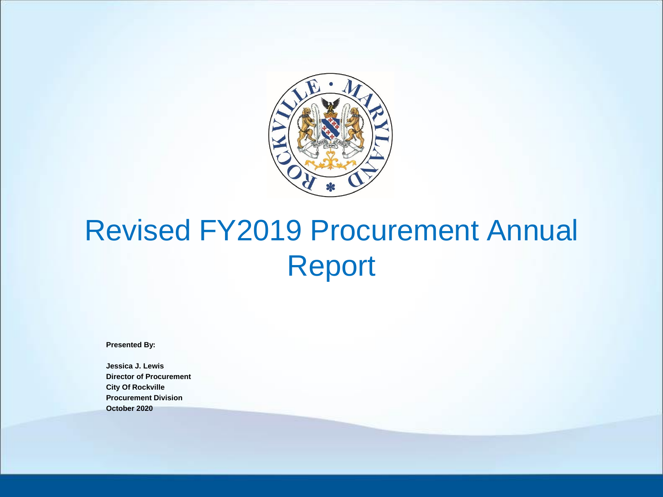

### Revised FY2019 Procurement Annual Report

**Presented By:**

**Jessica J. Lewis Director of Procurement City Of Rockville Procurement Division October 2020**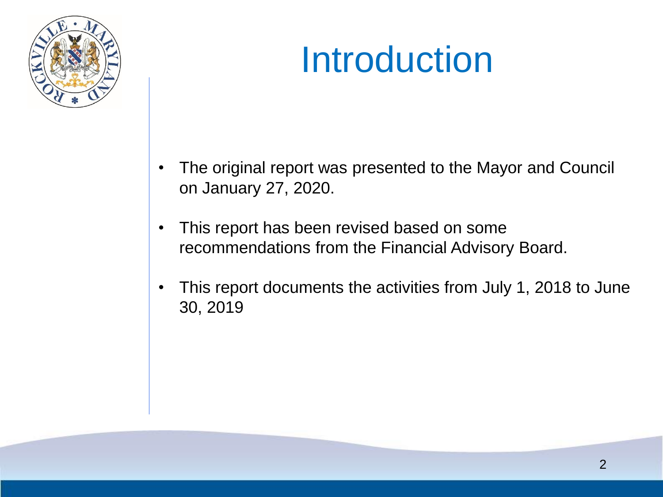

### Introduction

- The original report was presented to the Mayor and Council on January 27, 2020.
- This report has been revised based on some recommendations from the Financial Advisory Board.
- This report documents the activities from July 1, 2018 to June 30, 2019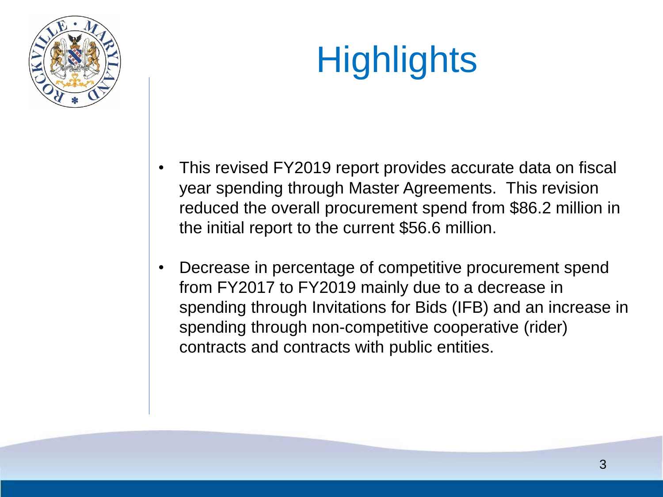

# **Highlights**

- This revised FY2019 report provides accurate data on fiscal year spending through Master Agreements. This revision reduced the overall procurement spend from \$86.2 million in the initial report to the current \$56.6 million.
- Decrease in percentage of competitive procurement spend from FY2017 to FY2019 mainly due to a decrease in spending through Invitations for Bids (IFB) and an increase in spending through non-competitive cooperative (rider) contracts and contracts with public entities.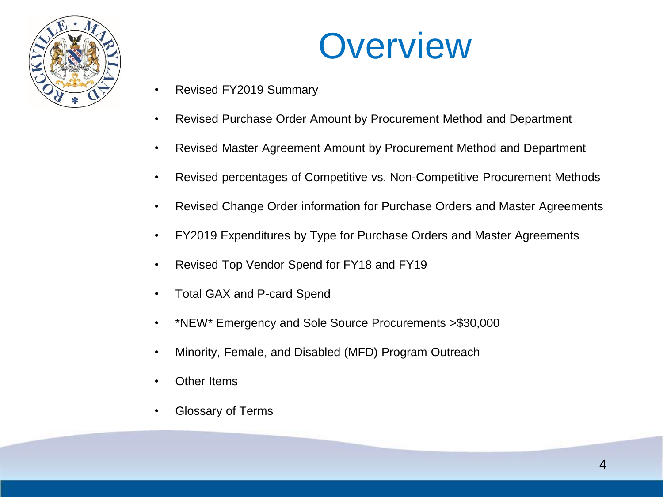



- Revised FY2019 Summary
- Revised Purchase Order Amount by Procurement Method and Department
- Revised Master Agreement Amount by Procurement Method and Department
- Revised percentages of Competitive vs. Non-Competitive Procurement Methods
- Revised Change Order information for Purchase Orders and Master Agreements
- FY2019 Expenditures by Type for Purchase Orders and Master Agreements
- Revised Top Vendor Spend for FY18 and FY19
- Total GAX and P-card Spend
- \*NEW\* Emergency and Sole Source Procurements >\$30,000
- Minority, Female, and Disabled (MFD) Program Outreach
- Other Items
- Glossary of Terms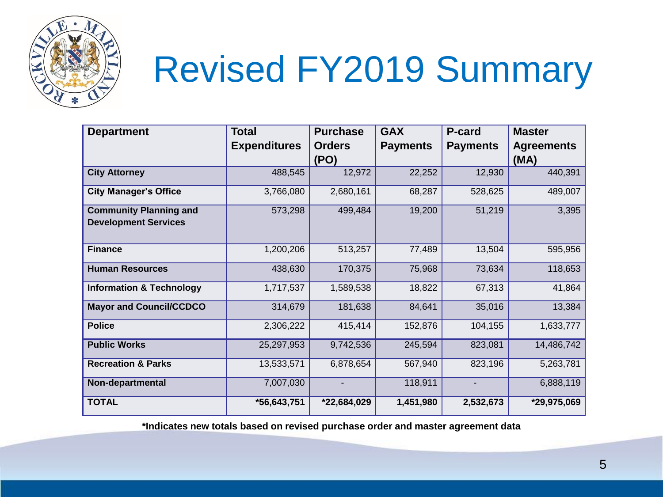

## Revised FY2019 Summary

| <b>Department</b>                                            | <b>Total</b>        | <b>Purchase</b> | <b>GAX</b>      | <b>P-card</b>   | <b>Master</b>     |
|--------------------------------------------------------------|---------------------|-----------------|-----------------|-----------------|-------------------|
|                                                              | <b>Expenditures</b> | <b>Orders</b>   | <b>Payments</b> | <b>Payments</b> | <b>Agreements</b> |
|                                                              |                     | (PO)            |                 |                 | (MA)              |
| <b>City Attorney</b>                                         | 488,545             | 12,972          | 22,252          | 12,930          | 440,391           |
| <b>City Manager's Office</b>                                 | 3,766,080           | 2,680,161       | 68,287          | 528,625         | 489,007           |
| <b>Community Planning and</b><br><b>Development Services</b> | 573,298             | 499,484         | 19,200          | 51,219          | 3,395             |
| <b>Finance</b>                                               | 1,200,206           | 513,257         | 77,489          | 13,504          | 595,956           |
| <b>Human Resources</b>                                       | 438,630             | 170,375         | 75,968          | 73,634          | 118,653           |
| <b>Information &amp; Technology</b>                          | 1,717,537           | 1,589,538       | 18,822          | 67,313          | 41,864            |
| <b>Mayor and Council/CCDCO</b>                               | 314,679             | 181,638         | 84,641          | 35,016          | 13,384            |
| <b>Police</b>                                                | 2,306,222           | 415,414         | 152,876         | 104,155         | 1,633,777         |
| <b>Public Works</b>                                          | 25,297,953          | 9,742,536       | 245,594         | 823,081         | 14,486,742        |
| <b>Recreation &amp; Parks</b>                                | 13,533,571          | 6,878,654       | 567,940         | 823,196         | 5,263,781         |
| Non-departmental                                             | 7,007,030           |                 | 118,911         | $\blacksquare$  | 6,888,119         |
| <b>TOTAL</b>                                                 | *56,643,751         | *22,684,029     | 1,451,980       | 2,532,673       | *29,975,069       |

**\*Indicates new totals based on revised purchase order and master agreement data**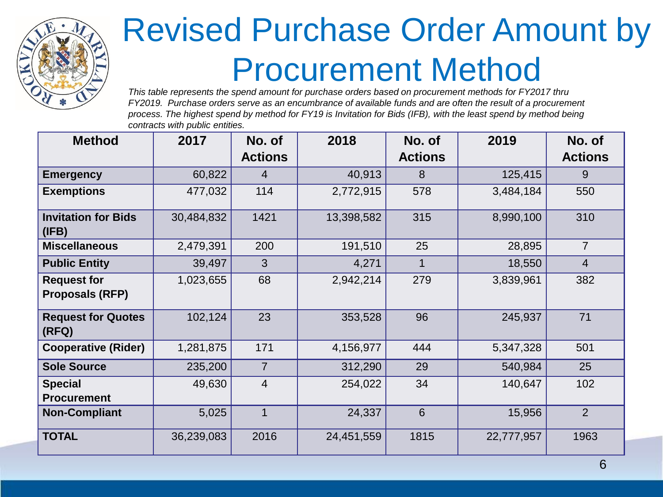

### Revised Purchase Order Amount by Procurement Method

*This table represents the spend amount for purchase orders based on procurement methods for FY2017 thru FY2019. Purchase orders serve as an encumbrance of available funds and are often the result of a procurement process. The highest spend by method for FY19 is Invitation for Bids (IFB), with the least spend by method being contracts with public entities.*

| <b>Method</b>                                | 2017       | No. of<br><b>Actions</b> | 2018       | No. of<br><b>Actions</b> | 2019       | No. of<br><b>Actions</b> |
|----------------------------------------------|------------|--------------------------|------------|--------------------------|------------|--------------------------|
| <b>Emergency</b>                             | 60,822     | $\overline{4}$           | 40,913     | 8                        | 125,415    | 9                        |
| <b>Exemptions</b>                            | 477,032    | 114                      | 2,772,915  | 578                      | 3,484,184  | 550                      |
| <b>Invitation for Bids</b><br>(IFB)          | 30,484,832 | 1421                     | 13,398,582 | 315                      | 8,990,100  | 310                      |
| <b>Miscellaneous</b>                         | 2,479,391  | 200                      | 191,510    | 25                       | 28,895     | $\overline{7}$           |
| <b>Public Entity</b>                         | 39,497     | 3                        | 4,271      | 1                        | 18,550     | $\overline{4}$           |
| <b>Request for</b><br><b>Proposals (RFP)</b> | 1,023,655  | 68                       | 2,942,214  | 279                      | 3,839,961  | 382                      |
| <b>Request for Quotes</b><br>(RFQ)           | 102,124    | 23                       | 353,528    | 96                       | 245,937    | 71                       |
| <b>Cooperative (Rider)</b>                   | 1,281,875  | 171                      | 4,156,977  | 444                      | 5,347,328  | 501                      |
| <b>Sole Source</b>                           | 235,200    | $\overline{7}$           | 312,290    | 29                       | 540,984    | 25                       |
| <b>Special</b><br><b>Procurement</b>         | 49,630     | $\overline{4}$           | 254,022    | 34                       | 140,647    | 102                      |
| <b>Non-Compliant</b>                         | 5,025      | $\overline{1}$           | 24,337     | 6                        | 15,956     | 2                        |
| <b>TOTAL</b>                                 | 36,239,083 | 2016                     | 24,451,559 | 1815                     | 22,777,957 | 1963                     |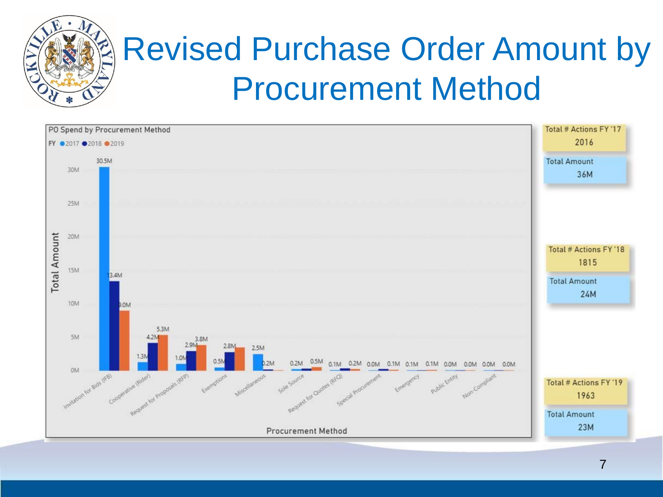

### Revised Purchase Order Amount by Procurement Method

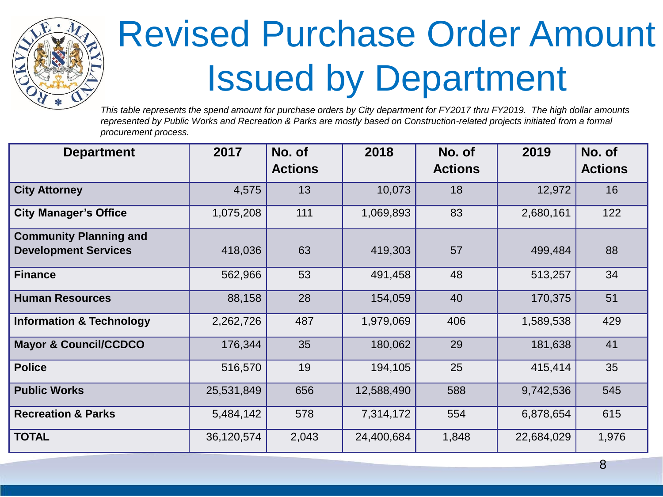

# Revised Purchase Order Amount Issued by Department

*This table represents the spend amount for purchase orders by City department for FY2017 thru FY2019. The high dollar amounts represented by Public Works and Recreation & Parks are mostly based on Construction-related projects initiated from a formal procurement process.*

| <b>Department</b>                                            | 2017       | No. of<br><b>Actions</b> | 2018       | No. of<br><b>Actions</b> | 2019       | No. of<br><b>Actions</b> |
|--------------------------------------------------------------|------------|--------------------------|------------|--------------------------|------------|--------------------------|
| <b>City Attorney</b>                                         | 4,575      | 13                       | 10,073     | 18                       | 12,972     | 16                       |
| <b>City Manager's Office</b>                                 | 1,075,208  | 111                      | 1,069,893  | 83                       | 2,680,161  | 122                      |
| <b>Community Planning and</b><br><b>Development Services</b> | 418,036    | 63                       | 419,303    | 57                       | 499,484    | 88                       |
| <b>Finance</b>                                               | 562,966    | 53                       | 491,458    | 48                       | 513,257    | 34                       |
| <b>Human Resources</b>                                       | 88,158     | 28                       | 154,059    | 40                       | 170,375    | 51                       |
| <b>Information &amp; Technology</b>                          | 2,262,726  | 487                      | 1,979,069  | 406                      | 1,589,538  | 429                      |
| <b>Mayor &amp; Council/CCDCO</b>                             | 176,344    | 35                       | 180,062    | 29                       | 181,638    | 41                       |
| <b>Police</b>                                                | 516,570    | 19                       | 194,105    | 25                       | 415,414    | 35                       |
| <b>Public Works</b>                                          | 25,531,849 | 656                      | 12,588,490 | 588                      | 9,742,536  | 545                      |
| <b>Recreation &amp; Parks</b>                                | 5,484,142  | 578                      | 7,314,172  | 554                      | 6,878,654  | 615                      |
| <b>TOTAL</b>                                                 | 36,120,574 | 2,043                    | 24,400,684 | 1,848                    | 22,684,029 | 1,976                    |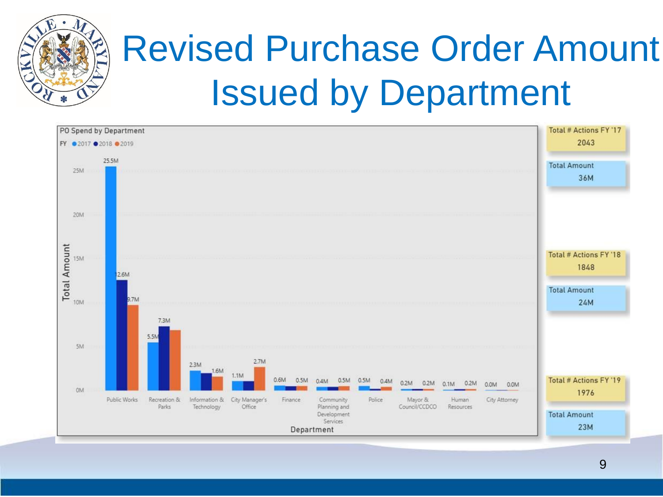

# Revised Purchase Order Amount Issued by Department

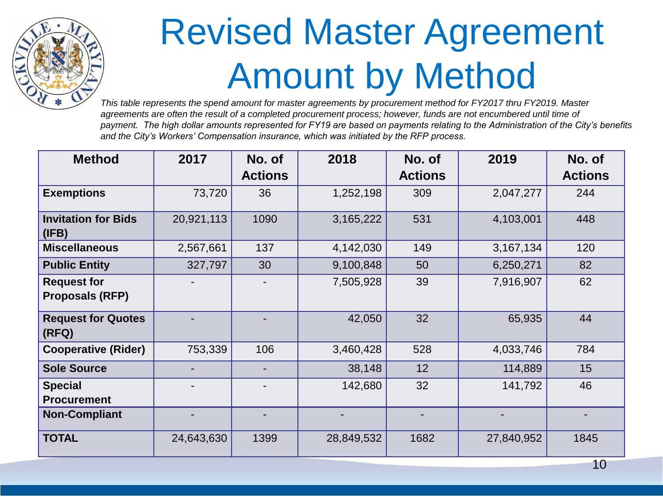

### Revised Master Agreement Amount by Method

*This table represents the spend amount for master agreements by procurement method for FY2017 thru FY2019. Master agreements are often the result of a completed procurement process; however, funds are not encumbered until time of payment. The high dollar amounts represented for FY19 are based on payments relating to the Administration of the City's benefits and the City's Workers' Compensation insurance, which was initiated by the RFP process.*

| <b>Method</b>                                | 2017       | No. of<br><b>Actions</b> | 2018       | No. of<br><b>Actions</b> | 2019       | No. of<br><b>Actions</b> |
|----------------------------------------------|------------|--------------------------|------------|--------------------------|------------|--------------------------|
| <b>Exemptions</b>                            | 73,720     | 36                       | 1,252,198  | 309                      | 2,047,277  | 244                      |
| <b>Invitation for Bids</b><br>(IFB)          | 20,921,113 | 1090                     | 3,165,222  | 531                      | 4,103,001  | 448                      |
| <b>Miscellaneous</b>                         | 2,567,661  | 137                      | 4,142,030  | 149                      | 3,167,134  | 120                      |
| <b>Public Entity</b>                         | 327,797    | 30                       | 9,100,848  | 50                       | 6,250,271  | 82                       |
| <b>Request for</b><br><b>Proposals (RFP)</b> |            |                          | 7,505,928  | 39                       | 7,916,907  | 62                       |
| <b>Request for Quotes</b><br>(RFQ)           |            |                          | 42,050     | 32                       | 65,935     | 44                       |
| <b>Cooperative (Rider)</b>                   | 753,339    | 106                      | 3,460,428  | 528                      | 4,033,746  | 784                      |
| <b>Sole Source</b>                           |            |                          | 38,148     | 12                       | 114,889    | 15                       |
| <b>Special</b><br><b>Procurement</b>         |            |                          | 142,680    | 32                       | 141,792    | 46                       |
| <b>Non-Compliant</b>                         |            |                          |            |                          |            |                          |
| <b>TOTAL</b>                                 | 24,643,630 | 1399                     | 28,849,532 | 1682                     | 27,840,952 | 1845                     |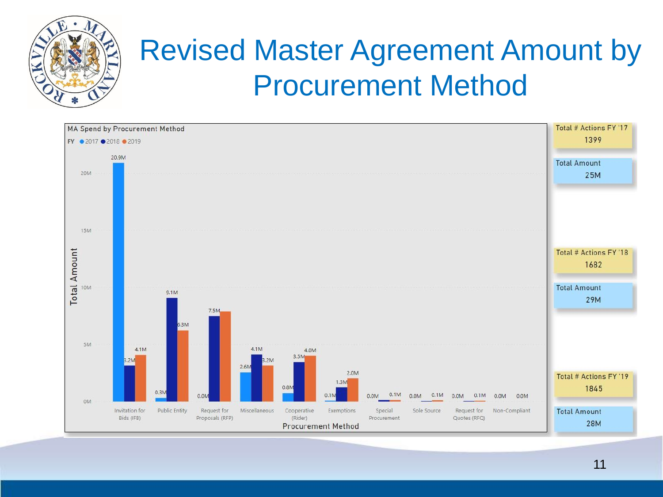

### Revised Master Agreement Amount by Procurement Method

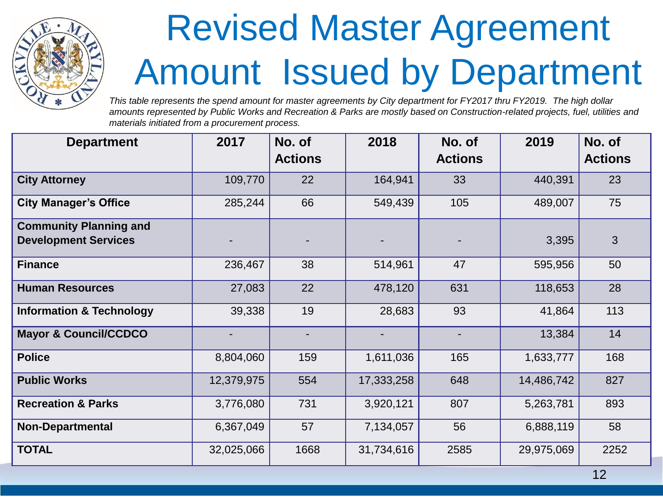

### Revised Master Agreement Amount Issued by Department

*This table represents the spend amount for master agreements by City department for FY2017 thru FY2019. The high dollar amounts represented by Public Works and Recreation & Parks are mostly based on Construction-related projects, fuel, utilities and materials initiated from a procurement process.*

| <b>Department</b>                                            | 2017       | No. of<br><b>Actions</b> | 2018       | No. of<br><b>Actions</b> | 2019       | No. of<br><b>Actions</b> |
|--------------------------------------------------------------|------------|--------------------------|------------|--------------------------|------------|--------------------------|
| <b>City Attorney</b>                                         | 109,770    | 22                       | 164,941    | 33                       | 440,391    | 23                       |
| <b>City Manager's Office</b>                                 | 285,244    | 66                       | 549,439    | 105                      | 489,007    | 75                       |
| <b>Community Planning and</b><br><b>Development Services</b> |            |                          |            |                          | 3,395      | 3                        |
| <b>Finance</b>                                               | 236,467    | 38                       | 514,961    | 47                       | 595,956    | 50                       |
| <b>Human Resources</b>                                       | 27,083     | 22                       | 478,120    | 631                      | 118,653    | 28                       |
| <b>Information &amp; Technology</b>                          | 39,338     | 19                       | 28,683     | 93                       | 41,864     | 113                      |
| <b>Mayor &amp; Council/CCDCO</b>                             |            | $\blacksquare$           | ٠          | ٠                        | 13,384     | 14                       |
| <b>Police</b>                                                | 8,804,060  | 159                      | 1,611,036  | 165                      | 1,633,777  | 168                      |
| <b>Public Works</b>                                          | 12,379,975 | 554                      | 17,333,258 | 648                      | 14,486,742 | 827                      |
| <b>Recreation &amp; Parks</b>                                | 3,776,080  | 731                      | 3,920,121  | 807                      | 5,263,781  | 893                      |
| <b>Non-Departmental</b>                                      | 6,367,049  | 57                       | 7,134,057  | 56                       | 6,888,119  | 58                       |
| <b>TOTAL</b>                                                 | 32,025,066 | 1668                     | 31,734,616 | 2585                     | 29,975,069 | 2252                     |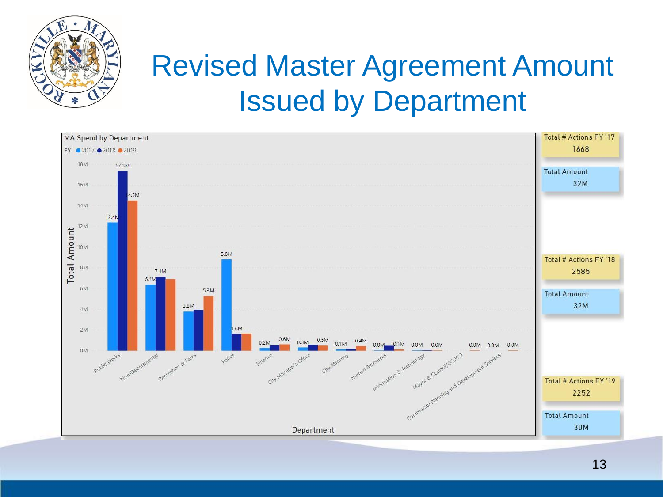

### Revised Master Agreement Amount Issued by Department

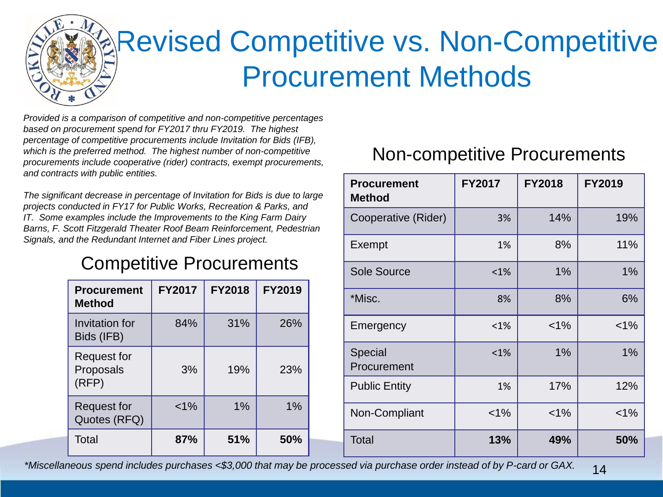

### Revised Competitive vs. Non-Competitive Procurement Methods

*Provided is a comparison of competitive and non-competitive percentages based on procurement spend for FY2017 thru FY2019. The highest percentage of competitive procurements include Invitation for Bids (IFB), which is the preferred method. The highest number of non-competitive procurements include cooperative (rider) contracts, exempt procurements, and contracts with public entities.*

*The significant decrease in percentage of Invitation for Bids is due to large projects conducted in FY17 for Public Works, Recreation & Parks, and IT. Some examples include the Improvements to the King Farm Dairy Barns, F. Scott Fitzgerald Theater Roof Beam Reinforcement, Pedestrian Signals, and the Redundant Internet and Fiber Lines project.*

#### Competitive Procurements

| <b>Procurement</b><br>Method             | <b>FY2017</b> | <b>FY2018</b> | FY2019 |
|------------------------------------------|---------------|---------------|--------|
| Invitation for<br>Bids (IFB)             | 84%           | 31%           | 26%    |
| <b>Request for</b><br>Proposals<br>(RFP) | 3%            | 19%           | 23%    |
| <b>Request for</b><br>Quotes (RFQ)       | $< 1\%$       | 1%            | 1%     |
| Total                                    | 87%           | 51%           | 50%    |

#### Non-competitive Procurements

| <b>Procurement</b><br><b>Method</b> | <b>FY2017</b> | <b>FY2018</b> | <b>FY2019</b> |
|-------------------------------------|---------------|---------------|---------------|
| Cooperative (Rider)                 | 3%            | 14%           | 19%           |
| Exempt                              | 1%            | 8%            | 11%           |
| <b>Sole Source</b>                  | $< 1\%$       | 1%            | 1%            |
| *Misc.                              | 8%            | 8%            | 6%            |
| Emergency                           | $< 1\%$       | $< 1\%$       | $< 1\%$       |
| Special<br>Procurement              | $< 1\%$       | 1%            | 1%            |
| <b>Public Entity</b>                | 1%            | 17%           | 12%           |
| Non-Compliant                       | $< 1\%$       | $< 1\%$       | $< 1\%$       |
| <b>Total</b>                        | 13%           | 49%           | 50%           |

14 *\*Miscellaneous spend includes purchases <\$3,000 that may be processed via purchase order instead of by P-card or GAX.*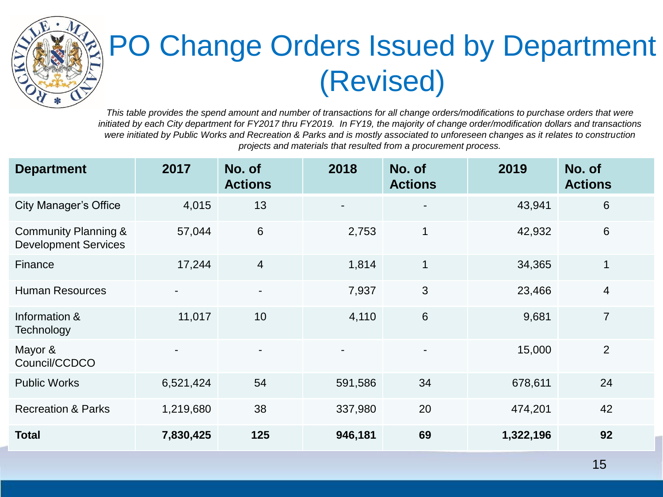

### PO Change Orders Issued by Department (Revised)

*This table provides the spend amount and number of transactions for all change orders/modifications to purchase orders that were* initiated by each City department for FY2017 thru FY2019. In FY19, the majority of change order/modification dollars and transactions *were initiated by Public Works and Recreation & Parks and is mostly associated to unforeseen changes as it relates to construction projects and materials that resulted from a procurement process.*

| <b>Department</b>                                   | 2017           | No. of<br><b>Actions</b> | 2018    | No. of<br><b>Actions</b> | 2019      | No. of<br><b>Actions</b> |
|-----------------------------------------------------|----------------|--------------------------|---------|--------------------------|-----------|--------------------------|
| <b>City Manager's Office</b>                        | 4,015          | 13                       |         | $\blacksquare$           | 43,941    | 6                        |
| Community Planning &<br><b>Development Services</b> | 57,044         | 6                        | 2,753   | 1                        | 42,932    | $6\,$                    |
| Finance                                             | 17,244         | $\overline{4}$           | 1,814   | $\mathbf{1}$             | 34,365    | $\mathbf{1}$             |
| <b>Human Resources</b>                              | $\blacksquare$ | $\overline{\phantom{a}}$ | 7,937   | $\mathfrak{B}$           | 23,466    | $\overline{4}$           |
| Information &<br>Technology                         | 11,017         | 10                       | 4,110   | $6\phantom{1}$           | 9,681     | $\overline{7}$           |
| Mayor &<br>Council/CCDCO                            |                |                          |         | $\blacksquare$           | 15,000    | 2                        |
| <b>Public Works</b>                                 | 6,521,424      | 54                       | 591,586 | 34                       | 678,611   | 24                       |
| <b>Recreation &amp; Parks</b>                       | 1,219,680      | 38                       | 337,980 | 20                       | 474,201   | 42                       |
| <b>Total</b>                                        | 7,830,425      | 125                      | 946,181 | 69                       | 1,322,196 | 92                       |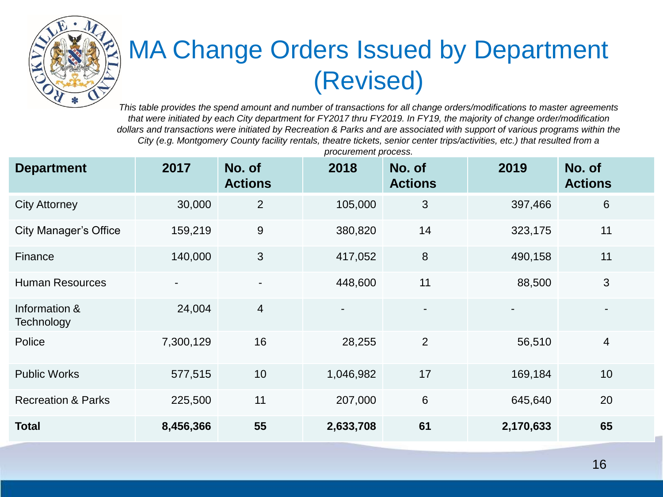

#### MA Change Orders Issued by Department (Revised)

*This table provides the spend amount and number of transactions for all change orders/modifications to master agreements that were initiated by each City department for FY2017 thru FY2019. In FY19, the majority of change order/modification dollars and transactions were initiated by Recreation & Parks and are associated with support of various programs within the City (e.g. Montgomery County facility rentals, theatre tickets, senior center trips/activities, etc.) that resulted from a* 

| <b>Department</b>             | 2017           | No. of<br><b>Actions</b> | 2018                     | No. of<br><b>Actions</b> | 2019                     | No. of<br><b>Actions</b> |
|-------------------------------|----------------|--------------------------|--------------------------|--------------------------|--------------------------|--------------------------|
| <b>City Attorney</b>          | 30,000         | $\overline{2}$           | 105,000                  | 3                        | 397,466                  | 6                        |
| <b>City Manager's Office</b>  | 159,219        | $\boldsymbol{9}$         | 380,820                  | 14                       | 323,175                  | 11                       |
| Finance                       | 140,000        | $\mathfrak{S}$           | 417,052                  | $\boldsymbol{8}$         | 490,158                  | 11                       |
| <b>Human Resources</b>        | $\blacksquare$ | $\blacksquare$           | 448,600                  | 11                       | 88,500                   | 3                        |
| Information &<br>Technology   | 24,004         | $\overline{4}$           | $\overline{\phantom{0}}$ | $\overline{\phantom{a}}$ | $\overline{\phantom{0}}$ | $\blacksquare$           |
| Police                        | 7,300,129      | 16                       | 28,255                   | 2                        | 56,510                   | $\overline{4}$           |
| <b>Public Works</b>           | 577,515        | 10 <sup>°</sup>          | 1,046,982                | 17                       | 169,184                  | 10                       |
| <b>Recreation &amp; Parks</b> | 225,500        | 11                       | 207,000                  | $6\phantom{1}6$          | 645,640                  | 20                       |
| <b>Total</b>                  | 8,456,366      | 55                       | 2,633,708                | 61                       | 2,170,633                | 65                       |

*procurement process.*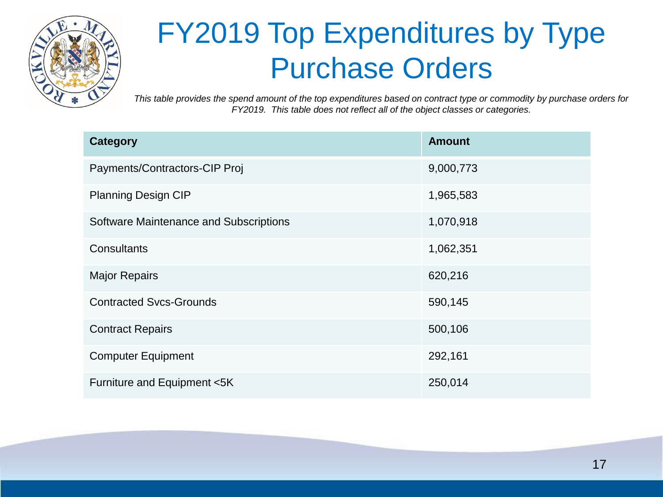

### FY2019 Top Expenditures by Type Purchase Orders

*This table provides the spend amount of the top expenditures based on contract type or commodity by purchase orders for FY2019. This table does not reflect all of the object classes or categories.*

| <b>Category</b>                        | <b>Amount</b> |
|----------------------------------------|---------------|
| Payments/Contractors-CIP Proj          | 9,000,773     |
| <b>Planning Design CIP</b>             | 1,965,583     |
| Software Maintenance and Subscriptions | 1,070,918     |
| Consultants                            | 1,062,351     |
| <b>Major Repairs</b>                   | 620,216       |
| <b>Contracted Svcs-Grounds</b>         | 590,145       |
| <b>Contract Repairs</b>                | 500,106       |
| <b>Computer Equipment</b>              | 292,161       |
| Furniture and Equipment <5K            | 250,014       |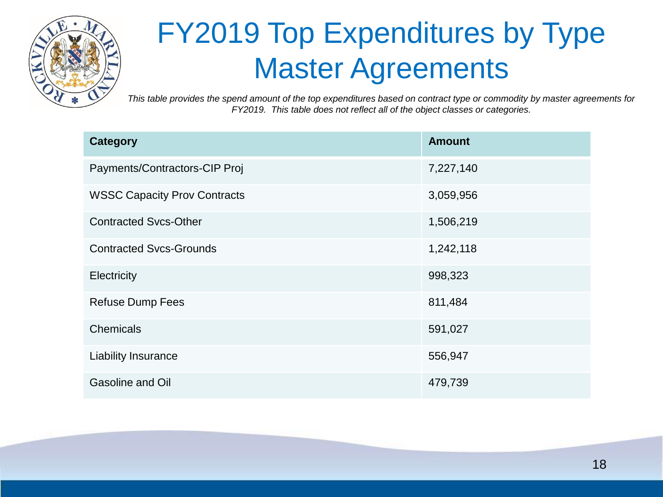

### FY2019 Top Expenditures by Type Master Agreements

*This table provides the spend amount of the top expenditures based on contract type or commodity by master agreements for FY2019. This table does not reflect all of the object classes or categories.*

| <b>Category</b>                     | <b>Amount</b> |
|-------------------------------------|---------------|
| Payments/Contractors-CIP Proj       | 7,227,140     |
| <b>WSSC Capacity Prov Contracts</b> | 3,059,956     |
| <b>Contracted Svcs-Other</b>        | 1,506,219     |
| <b>Contracted Svcs-Grounds</b>      | 1,242,118     |
| Electricity                         | 998,323       |
| <b>Refuse Dump Fees</b>             | 811,484       |
| Chemicals                           | 591,027       |
| <b>Liability Insurance</b>          | 556,947       |
| Gasoline and Oil                    | 479,739       |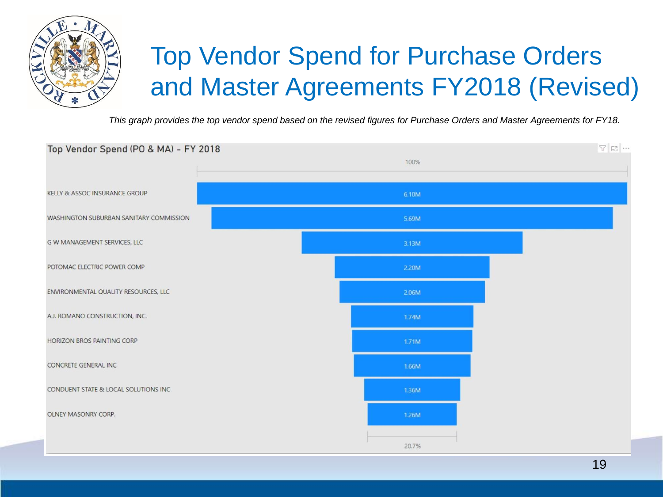

#### Top Vendor Spend for Purchase Orders and Master Agreements FY2018 (Revised)

*This graph provides the top vendor spend based on the revised figures for Purchase Orders and Master Agreements for FY18.*

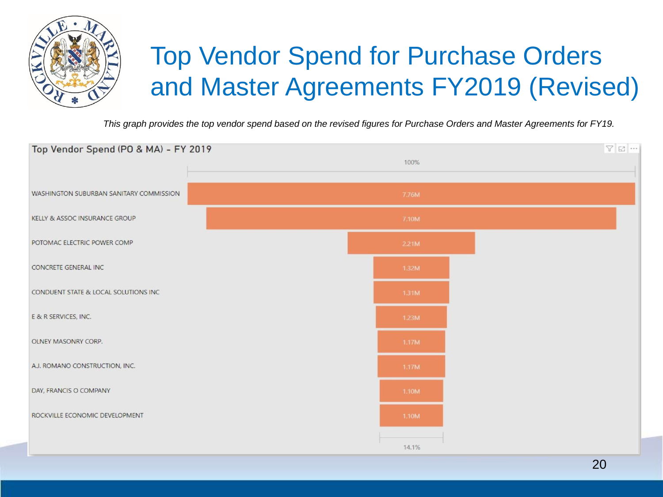

#### Top Vendor Spend for Purchase Orders and Master Agreements FY2019 (Revised)

*This graph provides the top vendor spend based on the revised figures for Purchase Orders and Master Agreements for FY19.*

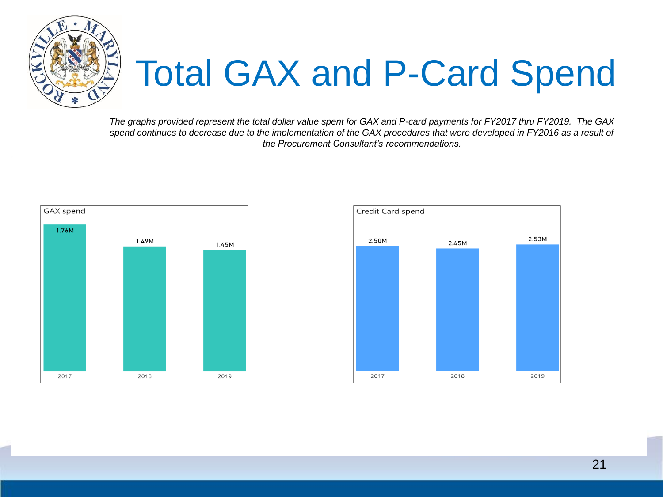

# Total GAX and P-Card Spend

*The graphs provided represent the total dollar value spent for GAX and P-card payments for FY2017 thru FY2019. The GAX spend continues to decrease due to the implementation of the GAX procedures that were developed in FY2016 as a result of the Procurement Consultant's recommendations.*



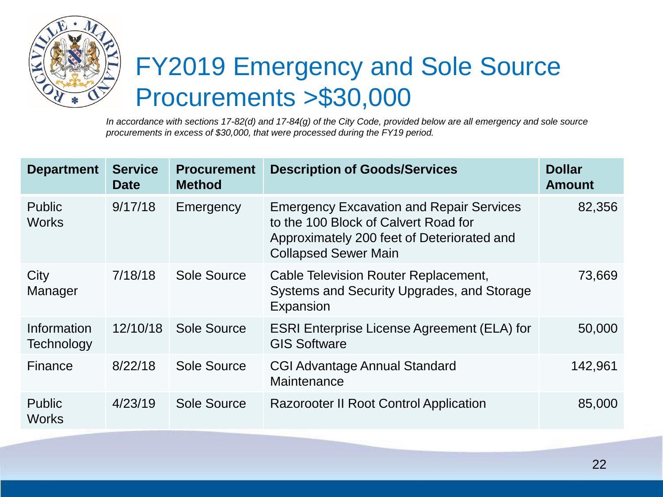

#### FY2019 Emergency and Sole Source Procurements >\$30,000

*In accordance with sections 17-82(d) and 17-84(g) of the City Code, provided below are all emergency and sole source procurements in excess of \$30,000, that were processed during the FY19 period.* 

| <b>Department</b>             | <b>Service</b><br><b>Date</b> | <b>Procurement</b><br><b>Method</b> | <b>Description of Goods/Services</b>                                                                                                                                 | <b>Dollar</b><br><b>Amount</b> |
|-------------------------------|-------------------------------|-------------------------------------|----------------------------------------------------------------------------------------------------------------------------------------------------------------------|--------------------------------|
| <b>Public</b><br><b>Works</b> | 9/17/18                       | Emergency                           | <b>Emergency Excavation and Repair Services</b><br>to the 100 Block of Calvert Road for<br>Approximately 200 feet of Deteriorated and<br><b>Collapsed Sewer Main</b> | 82,356                         |
| City<br>Manager               | 7/18/18                       | Sole Source                         | Cable Television Router Replacement,<br>Systems and Security Upgrades, and Storage<br>Expansion                                                                      | 73,669                         |
| Information<br>Technology     | 12/10/18                      | Sole Source                         | <b>ESRI Enterprise License Agreement (ELA) for</b><br><b>GIS Software</b>                                                                                            | 50,000                         |
| Finance                       | 8/22/18                       | Sole Source                         | <b>CGI Advantage Annual Standard</b><br>Maintenance                                                                                                                  | 142,961                        |
| Public<br><b>Works</b>        | 4/23/19                       | Sole Source                         | <b>Razorooter II Root Control Application</b>                                                                                                                        | 85,000                         |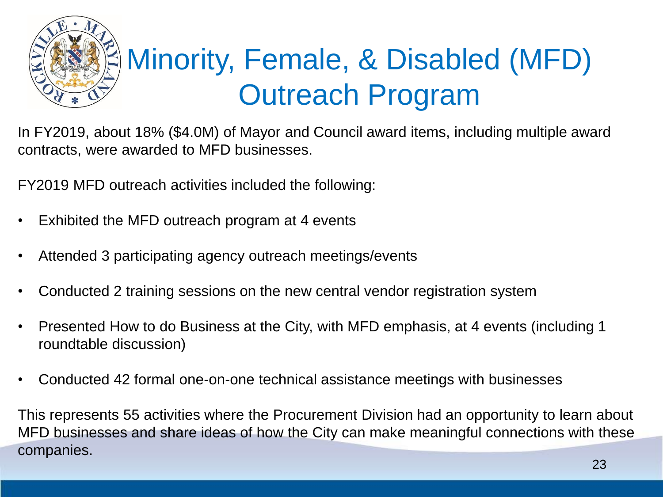

In FY2019, about 18% (\$4.0M) of Mayor and Council award items, including multiple award contracts, were awarded to MFD businesses.

FY2019 MFD outreach activities included the following:

- Exhibited the MFD outreach program at 4 events
- Attended 3 participating agency outreach meetings/events
- Conducted 2 training sessions on the new central vendor registration system
- Presented How to do Business at the City, with MFD emphasis, at 4 events (including 1 roundtable discussion)
- Conducted 42 formal one-on-one technical assistance meetings with businesses

This represents 55 activities where the Procurement Division had an opportunity to learn about MFD businesses and share ideas of how the City can make meaningful connections with these companies.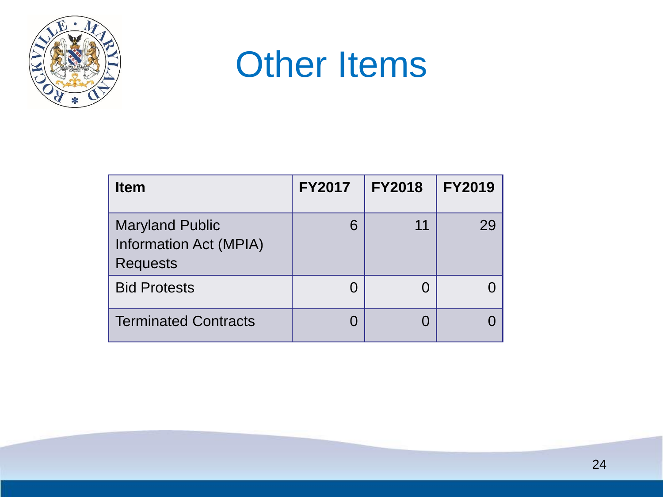

### **Other Items**

| <b>Item</b>                                                                | <b>FY2017</b> | <b>FY2018</b> | <b>FY2019</b> |
|----------------------------------------------------------------------------|---------------|---------------|---------------|
| <b>Maryland Public</b><br><b>Information Act (MPIA)</b><br><b>Requests</b> | 6             | 11            | 29            |
| <b>Bid Protests</b>                                                        | $\Box$        |               |               |
| <b>Terminated Contracts</b>                                                |               |               |               |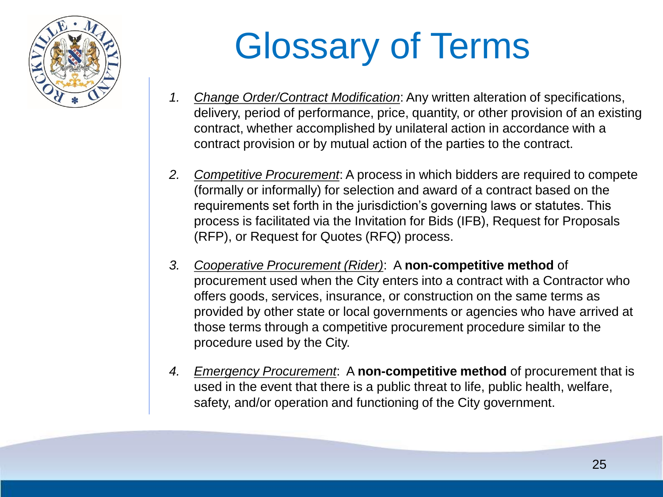

# Glossary of Terms

- *1. Change Order/Contract Modification*: Any written alteration of specifications, delivery, period of performance, price, quantity, or other provision of an existing contract, whether accomplished by unilateral action in accordance with a contract provision or by mutual action of the parties to the contract.
- *2. Competitive Procurement*: A process in which bidders are required to compete (formally or informally) for selection and award of a contract based on the requirements set forth in the jurisdiction's governing laws or statutes. This process is facilitated via the Invitation for Bids (IFB), Request for Proposals (RFP), or Request for Quotes (RFQ) process.
- *3. Cooperative Procurement (Rider)*: A **non-competitive method** of procurement used when the City enters into a contract with a Contractor who offers goods, services, insurance, or construction on the same terms as provided by other state or local governments or agencies who have arrived at those terms through a competitive procurement procedure similar to the procedure used by the City.
- *4. Emergency Procurement*: A **non-competitive method** of procurement that is used in the event that there is a public threat to life, public health, welfare, safety, and/or operation and functioning of the City government.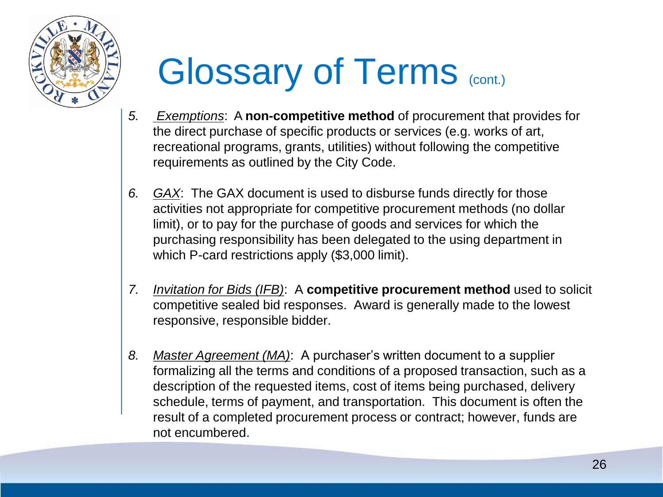

# Glossary of Terms (cont.)

- *5. Exemptions*: A **non-competitive method** of procurement that provides for the direct purchase of specific products or services (e.g. works of art, recreational programs, grants, utilities) without following the competitive requirements as outlined by the City Code.
- *6. GAX*: The GAX document is used to disburse funds directly for those activities not appropriate for competitive procurement methods (no dollar limit), or to pay for the purchase of goods and services for which the purchasing responsibility has been delegated to the using department in which P-card restrictions apply (\$3,000 limit).
- *7. Invitation for Bids (IFB)*: A **competitive procurement method** used to solicit competitive sealed bid responses. Award is generally made to the lowest responsive, responsible bidder.
- *8. Master Agreement (MA)*: A purchaser's written document to a supplier formalizing all the terms and conditions of a proposed transaction, such as a description of the requested items, cost of items being purchased, delivery schedule, terms of payment, and transportation. This document is often the result of a completed procurement process or contract; however, funds are not encumbered.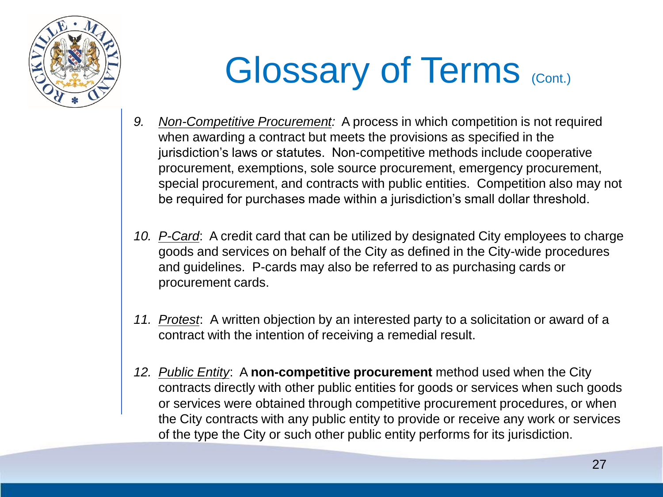

# Glossary of Terms (Cont.)

- *9. Non-Competitive Procurement:* A process in which competition is not required when awarding a contract but meets the provisions as specified in the jurisdiction's laws or statutes. Non-competitive methods include cooperative procurement, exemptions, sole source procurement, emergency procurement, special procurement, and contracts with public entities. Competition also may not be required for purchases made within a jurisdiction's small dollar threshold.
- *10. P-Card*: A credit card that can be utilized by designated City employees to charge goods and services on behalf of the City as defined in the City-wide procedures and guidelines. P-cards may also be referred to as purchasing cards or procurement cards.
- *11. Protest*: A written objection by an interested party to a solicitation or award of a contract with the intention of receiving a remedial result.
- *12. Public Entity*: A **non-competitive procurement** method used when the City contracts directly with other public entities for goods or services when such goods or services were obtained through competitive procurement procedures, or when the City contracts with any public entity to provide or receive any work or services of the type the City or such other public entity performs for its jurisdiction.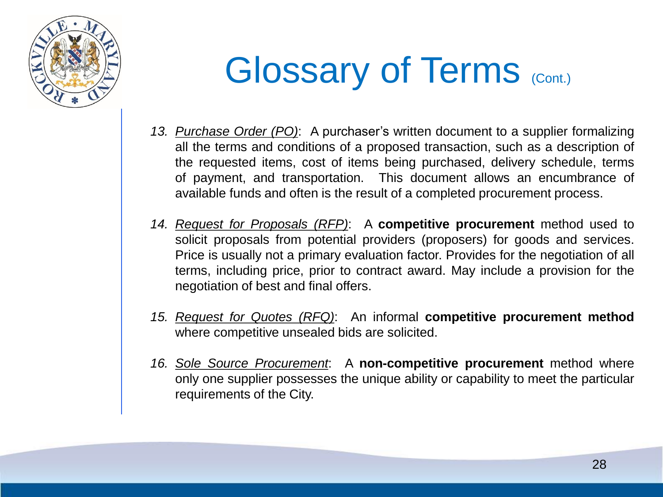

### Glossary of Terms (Cont.)

- *13. Purchase Order (PO)*: A purchaser's written document to a supplier formalizing all the terms and conditions of a proposed transaction, such as a description of the requested items, cost of items being purchased, delivery schedule, terms of payment, and transportation. This document allows an encumbrance of available funds and often is the result of a completed procurement process.
- *14. Request for Proposals (RFP)*: A **competitive procurement** method used to solicit proposals from potential providers (proposers) for goods and services. Price is usually not a primary evaluation factor. Provides for the negotiation of all terms, including price, prior to contract award. May include a provision for the negotiation of best and final offers.
- *15. Request for Quotes (RFQ)*: An informal **competitive procurement method** where competitive unsealed bids are solicited.
- *16. Sole Source Procurement*: A **non-competitive procurement** method where only one supplier possesses the unique ability or capability to meet the particular requirements of the City.